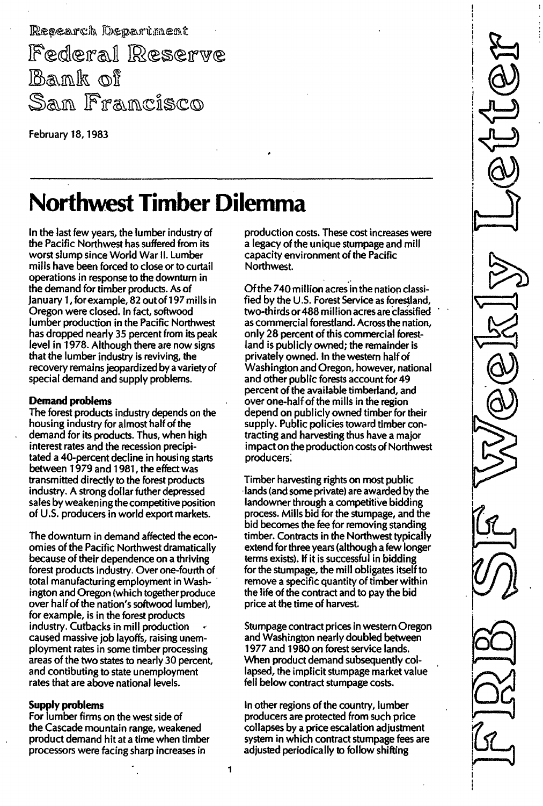Research Department Federal Reserve ill)S\ ll')lfu,(0)II San Francisco

February 18, 1983

## Northwest Timber Dilemma

In the last few years, the lumber industry of the Pacific Northwest has suffered from its worst slump since World War II. Lumber mills have been forced to close or to curtail operations in response to the downturn in the demand for timber products, As of January 1, for example, 82 out of 197 mills in Oregon were closed, In fact, softwood lumber production in the Pacific Northwest has dropped nearly 35 percent from its peak level in 1978. Although there are now signs that the lumber industry is reviving, the recovery remains jeopardized by a variety of special demand and supply problems,

#### Demand problems

The forest products industry depends on the housing industry for almost half of the demand for its products, Thus, when high interest rates and the recession precipitated a 40-percent decline in housing starts between 1 979 and 1 981 , the effect was transmitted directly to the forest products industry, A strong dollar futher depressed sales by weakening the competitive position of U.S. producers in world export markets.

The downturn in demand affected the economies of the Pacific Northwest dramatically because of their dependence on a thriving forest products industry, Over one-fourth of total manufacturing employment in Washington and Oregon (which together produce over half of the nation's softwood lumber), for example, is in the forest products industry, Cutbacks in mill production caused massive job layoffs, raising unemployment rates in some timber processing areas of the two states to nearly 30 percent, and contibuting to state unemployment rates that are above national levels,

#### Supply problems

For lumber firms on the west side of the Cascade mountain range, weakened product demand hit at a time when timber processors were facing sharp increases in

production costs, These cost increases were a legacy of the unique stumpage and mill capacity environment of the Pacific Northwest.

Of the 740 million acres in the nation classified by the U.S. Forest Service as forestland, two-thirds or 488 million acres are classified as commercial forestland, Across the nation, only 28 percent of this commercial forestland is publicly owned; the remainder is privately owned, In the western half of Washington and Oregon, however, national and other public forests account for 49 percent of the available timberland, and over one-half of the mills in the region depend on publicly owned timber for their supply, Public policies toward timber contracting and harvesting thus have a major impact on the production costs of Northwest producers,

Timber harvesting rights on most public lands (and some private) are awarded by the landowner through a competitive bidding process, Mills bid for the stumpage, and the bid becomes the fee for removing standing timber. Contracts in the Northwest typically extend for three years (although a few longer terms exists), If it is successful in bidding for the stumpage, the mill obligates itself to remove a specific quantity of timber within the life of the contract and to pay the bid price at the time of harvest.

Stumpage contract prices in western Oregon and Washington nearly doubled between 1977 and 1980 on forest service lands. When product demand subsequently collapsed, the implicit stumpage market value fell below contract stumpage costs,

In other regions of the country, lumber producers are protected from such price collapses by a price escalation adjustment system in which contract stumpage fees are adjusted periodically to follow shifting

I I I !  $\circledR$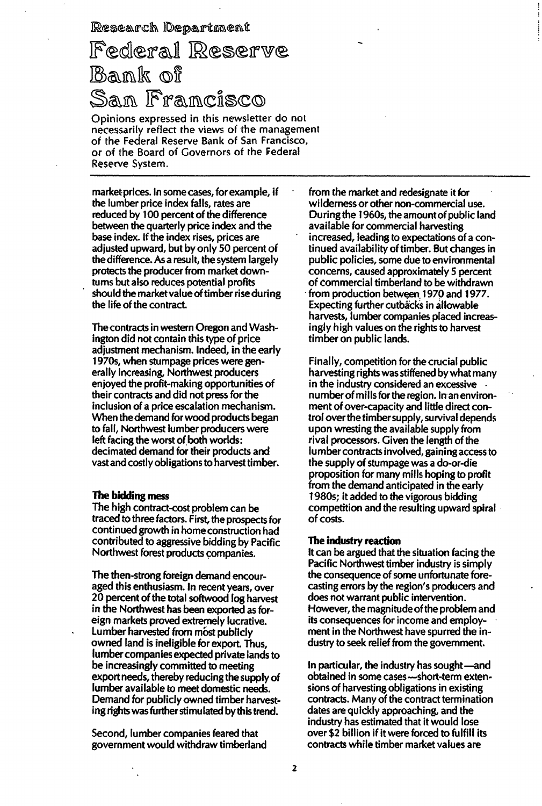Research Department

### Federal Reserve Bank of San Francisco

Opinions expressed in this newsletter do not necessarily reflect the views 01 the management 01 the Federal Reserve Bank of San Francisco, or of the Board of Governors of the Federal Reserve System,

market prices, In some cases, forexample, if the lumber price index falls, rates are reduced by 1 00 percent of the difference between the quarterly price index and the base index, If the index rises, prices are adjusted upward, but by only 50 percent of the difference, As a result, the system largely protects the producer from market downturns but also reduces potential profits should the market value of timber riseduring the life of the contract

The contracts in western Oregon and Washington did not contain this type of price adjustment mechanism, Indeed, in the early 1 970s, when stumpage prices were generally increasing, Northwest producers enjoyed the profit-making opportunities of their contracts and did not press for the inclusion of a price escalation mechanism, When the demand for wood products began to fall, Northwest lumber producers were left facing the worst of both worlds: decimated demand for their products and vast and costly obligations to harvest timber.

#### The bidding mess

The high contract-cost problem can be traced to three factors, First, the prospects for continued growth in home construction had contributed to aggressive bidding by Pacific Northwest forest products companies,

The then-strong foreign demand encouraged this enthusiasm, In recent years, over 20 percent of the total softwood log harvest in the Northwest has been exported as foreign markets proved extremely lucrative. Lumber harvested from most publicly owned land is ineligible for export, Thus, lumber companies expected private lands to be increasingly committed to meeting export needs, thereby reducing the supply of lumber available to meet domestic needs. Demand for publicly owned timber harvesting rights was further stimulated by this trend.

Second, lumber companies feared that government would withdraw timberland

from the market and redesignate it for wilderness or other non-commercial use. During the 1 960s, the amount of public land available for commercial harvesting increased, leading to expectations of a continued availability of timber. But changes in public policies, some due to environmental concerns, caused approximately 5 percent of commercial timberland to be withdrawn from production between 1970 and 1977. Expecting further cutbacks in allowable harvests, lumber companies placed increasingly high values on the rights to harvest timber on public lands,

Finally, competition for the crucial public harvesting rights was stiffened by what many in the industry considered an excessive number of mills for the region. In an environment of over-capacity and little direct control over the timber supply, survival depends upon wresting the available supply from rival processors. Given the length of the lumber contracts involved, gaining access to the supply of stumpage was a do-or-die proposition for many mills hoping to profit from the demand anticipated in the early 1 980s; it added to the vigorous bidding competition and the resulting upward spiral of costs,

#### The industry reaction

It can be argued that the situation facing the Pacific Northwest timber industry is simply the consequence of some unfortunate forecasting errors by the region's producers and does not warrant public intervention, However, the magnitude of the problem and its consequences for income and employment in the Northwest have spurred the industry to seek relief from the government.

In particular, the industry has sought-and obtained in some cases-short-term extensions of harvesting obligations in existing contracts. Many of the contract termination dates are quickly approaching, and the industry has estimated that it would lose over \$2 billion if it were forced to fulfill its contracts while timber market values are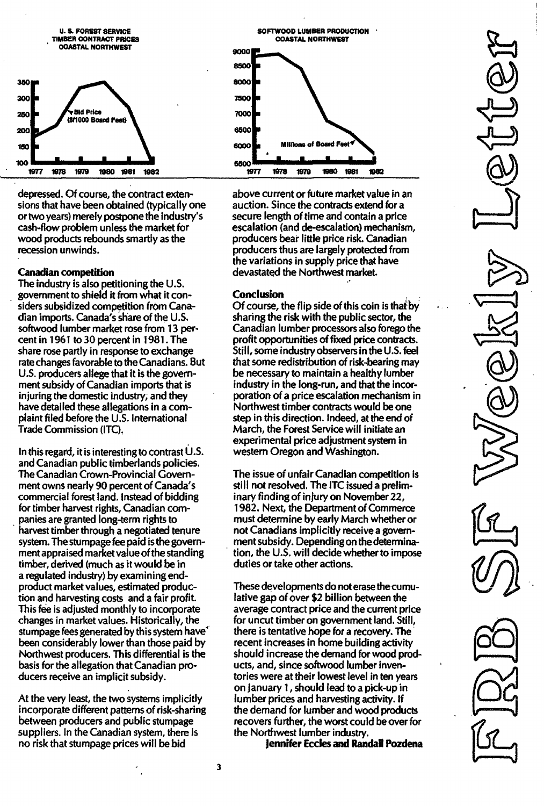

depressed.Of course, the contract extensions that have been obtained (typically one or two years) merely postpone the industry's cash-flow problem unless the market for wood products rebounds smartly as the recession unwinds.

#### Canadian competition

The industry is also petitioning the U.S. government to shield it from what it considers subsidized competition from Canadian imports. Canada's share of the U.S. softwood lumber market rose from 13 percent in 1961 to 30 percent in 1981. The share rose partly in response to exchange rate changes favorable to the Canadians. But U.S. producers allege that it is the government subsidy of Canadian imports that is injuring the domestic industry, and they have detailed these allegations in a complaint filed before the U.s. International Trade Commission (lTC).

In this regard, it is interesting to contrast  $U.S.$ and Canadian public timberlands policies. The Canadian Crown-Provincial Government owns nearly 90 percent of Canada's commercial forest land. Instead of bidding for timber harvest rights, Canadian companies are granted long-term rights to harvest timber through a negotiated tenure system. The stumpage fee paid is the government appraised market value of the standing timber, derived (much as it would be in a regulated industry) by examining endproduct market values, estimated production and harvesting costs and a fair profit. This fee is adjusted monthly to incorporate changes in market values. Historically, the stumpage fees generated by this system have' been considerably lower than those paid by Northwest producers. This differential is the basis for the allegation that Canadian producers receive an implicit subsidy.

At the very least, the two systems implicitly incorporate different patterns of risk-sharing between producers and public stumpage suppliers. In the Canadian system, there is no risk that stumpage prices will be bid



above current or future market value in an auction. Since the contracts extend for a secure length of time and contain a price escalation (and de-escalation) mechanism, producers bear little price risk. Canadian producers thus are largely protected from the variations in supply price that have devastated the Northwest market.

#### Conclusion

Of course, the flip side of this coin is that by sharing the risk with the public sector, the Canadian lumber processors also forego the profit opportunities of fixed price contracts. Still, some industry observers in the U.S. feel that some redistribution of risk-bearing may be necessary to maintain a healthy lumber industry in the long-run, and that the incorporation of a price escalation mechanism in Northwest timber contracts would be one step in this direction. Indeed, at the end of March, the Forest Service will initiate an experimental price adjustment system in western Oregon and Washington.

The issue of unfair Canadian competition is still not resolved. The ITC issued a preliminary finding of injury on November 22, 1 982. Next, the Department of Commerce must determine by early March whether or not Canadians implicitly receive a government subsidy. Depending on thedetermination, the U.S. will decide whether to impose duties or take other actions.

These developments do not erase the cumulative gap of over \$2 billion between the average contract price and the current price for uncut timber on government land. Still, there is tentative hope for a recovery. The recent increases in home building activity should increase the demand for wood products, and, since softwood lumber inventories were at their lowest level in ten years on January 1 , should lead to a pick-up in lumber prices and harvesting activity. If the demand for lumber and wood products recovers further, the worst could be over for the Northwest lumber industry.

Jennifer Eccles and Randall Pozdena